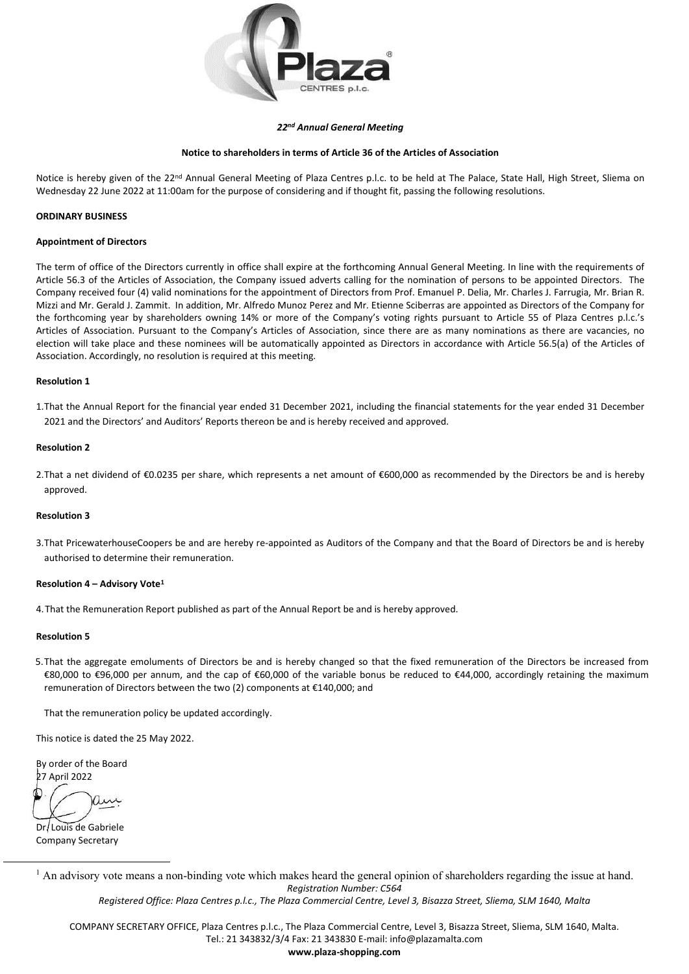

### 22nd Annual General Meeting

## Notice to shareholders in terms of Article 36 of the Articles of Association

Notice is hereby given of the 22<sup>nd</sup> Annual General Meeting of Plaza Centres p.l.c. to be held at The Palace, State Hall, High Street, Sliema on Wednesday 22 June 2022 at 11:00am for the purpose of considering and if thought fit, passing the following resolutions.

## ORDINARY BUSINESS

### Appointment of Directors

The term of office of the Directors currently in office shall expire at the forthcoming Annual General Meeting. In line with the requirements of Article 56.3 of the Articles of Association, the Company issued adverts calling for the nomination of persons to be appointed Directors. The Company received four (4) valid nominations for the appointment of Directors from Prof. Emanuel P. Delia, Mr. Charles J. Farrugia, Mr. Brian R. Mizzi and Mr. Gerald J. Zammit. In addition, Mr. Alfredo Munoz Perez and Mr. Etienne Sciberras are appointed as Directors of the Company for the forthcoming year by shareholders owning 14% or more of the Company's voting rights pursuant to Article 55 of Plaza Centres p.l.c.'s Articles of Association. Pursuant to the Company's Articles of Association, since there are as many nominations as there are vacancies, no election will take place and these nominees will be automatically appointed as Directors in accordance with Article 56.5(a) of the Articles of Association. Accordingly, no resolution is required at this meeting.

#### Resolution 1

1.That the Annual Report for the financial year ended 31 December 2021, including the financial statements for the year ended 31 December 2021 and the Directors' and Auditors' Reports thereon be and is hereby received and approved.

#### Resolution 2

2. That a net dividend of €0.0235 per share, which represents a net amount of €600,000 as recommended by the Directors be and is hereby approved.

### Resolution 3

3.That PricewaterhouseCoopers be and are hereby re-appointed as Auditors of the Company and that the Board of Directors be and is hereby authorised to determine their remuneration.

#### Resolution 4 – Advisory Vote<sup>1</sup>

4.That the Remuneration Report published as part of the Annual Report be and is hereby approved.

#### Resolution 5

5.That the aggregate emoluments of Directors be and is hereby changed so that the fixed remuneration of the Directors be increased from €80,000 to €96,000 per annum, and the cap of €60,000 of the variable bonus be reduced to €44,000, accordingly retaining the maximum remuneration of Directors between the two (2) components at €140,000; and

That the remuneration policy be updated accordingly.

This notice is dated the 25 May 2022.

By order of the Board 27 April 2022

Dr. Louis de Gabriele Company Secretary

Registration Number: C564  $<sup>1</sup>$  An advisory vote means a non-binding vote which makes heard the general opinion of shareholders regarding the issue at hand.</sup>

Registered Office: Plaza Centres p.l.c., The Plaza Commercial Centre, Level 3, Bisazza Street, Sliema, SLM 1640, Malta

COMPANY SECRETARY OFFICE, Plaza Centres p.l.c., The Plaza Commercial Centre, Level 3, Bisazza Street, Sliema, SLM 1640, Malta. Tel.: 21 343832/3/4 Fax: 21 343830 E-mail: info@plazamalta.com

www.plaza-shopping.com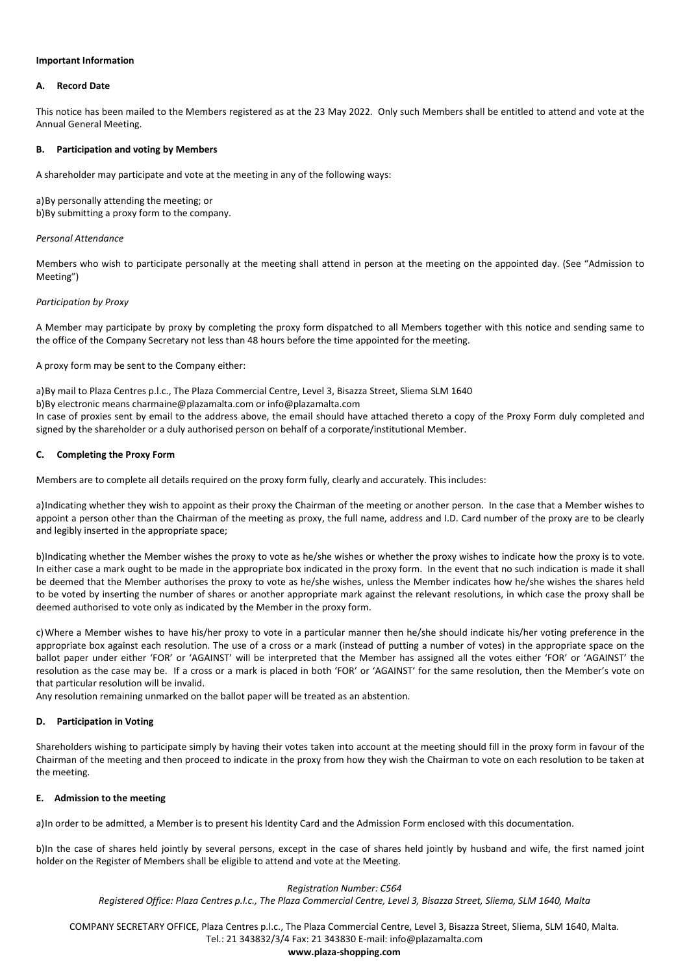### Important Information

## A. Record Date

This notice has been mailed to the Members registered as at the 23 May 2022. Only such Members shall be entitled to attend and vote at the Annual General Meeting.

## B. Participation and voting by Members

A shareholder may participate and vote at the meeting in any of the following ways:

a) By personally attending the meeting; or b) By submitting a proxy form to the company.

### Personal Attendance

Members who wish to participate personally at the meeting shall attend in person at the meeting on the appointed day. (See "Admission to Meeting")

## Participation by Proxy

A Member may participate by proxy by completing the proxy form dispatched to all Members together with this notice and sending same to the office of the Company Secretary not less than 48 hours before the time appointed for the meeting.

A proxy form may be sent to the Company either:

a) By mail to Plaza Centres p.l.c., The Plaza Commercial Centre, Level 3, Bisazza Street, Sliema SLM 1640 b) By electronic means charmaine@plazamalta.com or info@plazamalta.com In case of proxies sent by email to the address above, the email should have attached thereto a copy of the Proxy Form duly completed and signed by the shareholder or a duly authorised person on behalf of a corporate/institutional Member.

### C. Completing the Proxy Form

Members are to complete all details required on the proxy form fully, clearly and accurately. This includes:

a) Indicating whether they wish to appoint as their proxy the Chairman of the meeting or another person. In the case that a Member wishes to appoint a person other than the Chairman of the meeting as proxy, the full name, address and I.D. Card number of the proxy are to be clearly and legibly inserted in the appropriate space;

b) Indicating whether the Member wishes the proxy to vote as he/she wishes or whether the proxy wishes to indicate how the proxy is to vote. In either case a mark ought to be made in the appropriate box indicated in the proxy form. In the event that no such indication is made it shall be deemed that the Member authorises the proxy to vote as he/she wishes, unless the Member indicates how he/she wishes the shares held to be voted by inserting the number of shares or another appropriate mark against the relevant resolutions, in which case the proxy shall be deemed authorised to vote only as indicated by the Member in the proxy form.

c) Where a Member wishes to have his/her proxy to vote in a particular manner then he/she should indicate his/her voting preference in the appropriate box against each resolution. The use of a cross or a mark (instead of putting a number of votes) in the appropriate space on the ballot paper under either 'FOR' or 'AGAINST' will be interpreted that the Member has assigned all the votes either 'FOR' or 'AGAINST' the resolution as the case may be. If a cross or a mark is placed in both 'FOR' or 'AGAINST' for the same resolution, then the Member's vote on that particular resolution will be invalid.

Any resolution remaining unmarked on the ballot paper will be treated as an abstention.

## D. Participation in Voting

Shareholders wishing to participate simply by having their votes taken into account at the meeting should fill in the proxy form in favour of the Chairman of the meeting and then proceed to indicate in the proxy from how they wish the Chairman to vote on each resolution to be taken at the meeting.

## E. Admission to the meeting

a) In order to be admitted, a Member is to present his Identity Card and the Admission Form enclosed with this documentation.

b) In the case of shares held jointly by several persons, except in the case of shares held jointly by husband and wife, the first named joint holder on the Register of Members shall be eligible to attend and vote at the Meeting.

### Registration Number: C564

Registered Office: Plaza Centres p.l.c., The Plaza Commercial Centre, Level 3, Bisazza Street, Sliema, SLM 1640, Malta

COMPANY SECRETARY OFFICE, Plaza Centres p.l.c., The Plaza Commercial Centre, Level 3, Bisazza Street, Sliema, SLM 1640, Malta. Tel.: 21 343832/3/4 Fax: 21 343830 E-mail: info@plazamalta.com

#### www.plaza-shopping.com